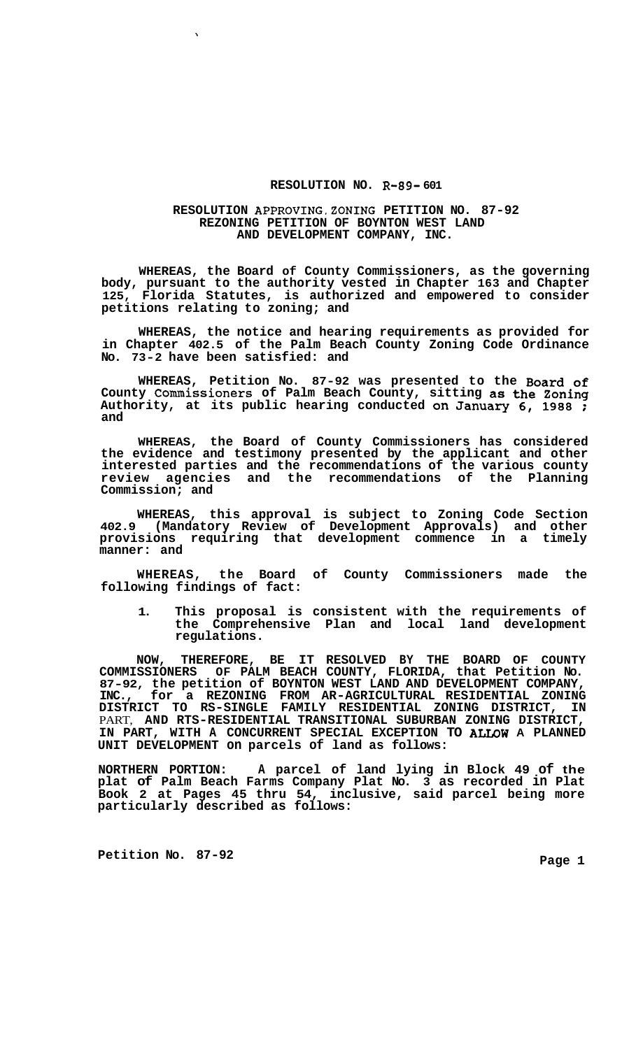## **RESOLUTION NO. R-89- 601**

## **RESOLUTION APPROVING,ZONING PETITION NO. 87-92 REZONING PETITION OF BOYNTON WEST LAND AND DEVELOPMENT COMPANY, INC.**

**WHEREAS, the Board of County Commissioners, as the governing body, pursuant to the authority vested in Chapter 163 and Chapter 125, Florida Statutes, is authorized and empowered to consider petitions relating to zoning; and** 

**WHEREAS, the notice and hearing requirements as provided for in Chapter 402.5 of the Palm Beach County Zoning Code Ordinance No. 73-2 have been satisfied: and** 

**WHEREAS, Petition No. 87-92 was presented to the Board of County Commissioners of Palm Beach County, sitting as the Zoning Authority, at its public hearing conducted on January** *6,* **1988** ; **and** 

**WHEREAS, the Board of County Commissioners has considered the evidence and testimony presented by the applicant and other interested parties and the recommendations of the various county review agencies and the recommendations of the Planning Commission; and** 

**WHEREAS, this approval is subject to Zoning Code Section 402.9 (Mandatory Review of Development Approvals) and other provisions requiring that development commence in a timely manner: and** 

**WHEREAS, the Board of County Commissioners made the following findings of fact:** 

**1. This proposal is consistent with the requirements of the Comprehensive Plan and local land development regulations.** 

**NOW, THEREFORE, BE IT RESOLVED BY THE BOARD OF COUNTY COMMISSIONERS OF PALM BEACH COUNTY, FLORIDA, that Petition No. 87-92, the petition of BOYNTON WEST LAND AND DEVELOPMENT COMPANY, INC., for a REZONING FROM AR-AGRICULTURAL RESIDENTIAL ZONING DISTRICT TO RS-SINGLE FAMILY RESIDENTIAL ZONING DISTRICT, IN**  PART, **AND RTS-RESIDENTIAL TRANSITIONAL SUBURBAN ZONING DISTRICT, IN PART, WITH A CONCURRENT SPECIAL EXCEPTION TO ALLOW A PLANNED UNIT DEVELOPMENT on parcels of land as follows:** 

**NORTHERN PORTION: A parcel of land lying in Block 49 of the plat of Palm Beach Farms Company Plat No. 3 as recorded in Plat Book 2 at Pages 45 thru 54, inclusive, said parcel being more particularly described as follows:** 

Petition No. 87-92 **Page 1 Page 1**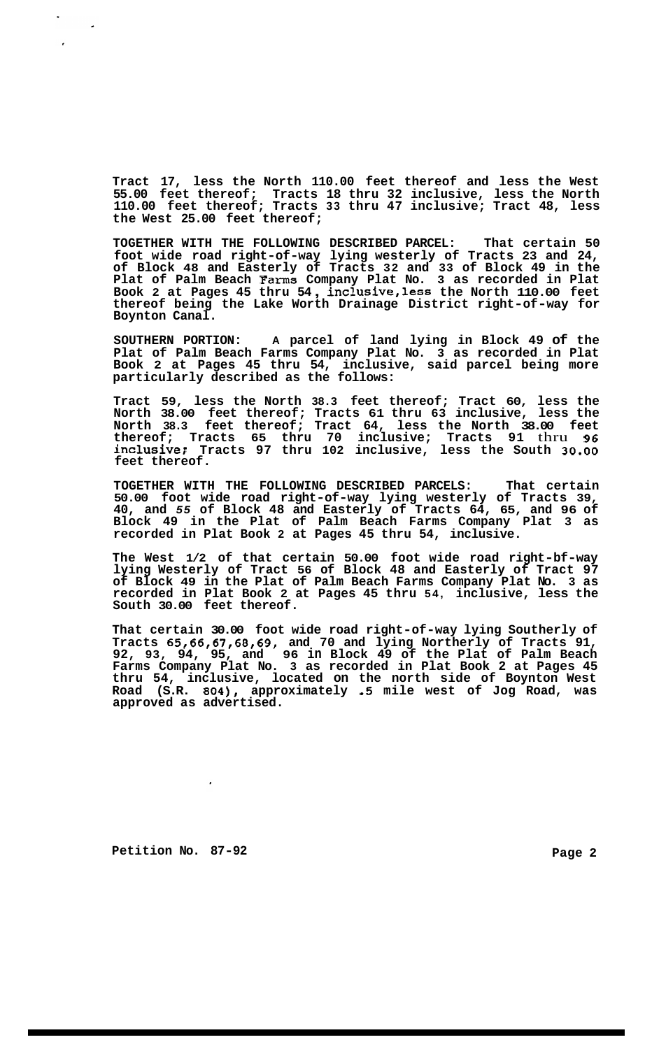**Tract 17, less the North 110.00 feet thereof and less the West 55.00 feet thereof; Tracts 18 thru 32 inclusive, less the North 110.00 feet thereof; Tracts 33 thru 47 inclusive; Tract 48, less the West 25.00 feet thereof;** 

**TOGETHER WITH THE FOLLOWING DESCRIBED PARCEL: That certain 50 foot wide road right-of-way lying westerly of Tracts 23 and 24, of Block 48 and Easterly of Tracts 32 and 33 of Block 49 in the Plat of Palm Beach Farms Company Plat No. 3 as recorded in Plat Book 2 at Pages 45 thru 54** , **inclusive,less the North 110.00 feet thereof being the Lake Worth Drainage District right-of-way for Boynton Canal.** 

**SOUTHERN PORTION: A parcel of land lying in Block 49 of the Plat of Palm Beach Farms Company Plat No. 3 as recorded in Plat Book 2 at Pages 45 thru 54, inclusive, said parcel being more particularly described as the follows:** 

**Tract 59, less the North 38.3 feet thereof; Tract 60, less the North 38.00 feet thereof; Tracts 61 thru 63 inclusive, less the North 38.3 feet thereof; Tract 64, less the North 38.00 feet thereof; Tracts 65 thru 70 inclusive; Tracts 91** thru **96 inclusive; Tracts 97 thru 102 inclusive, less the South 30.00 feet thereof.** 

**TOGETHER WITH THE FOLLOWING DESCRIBED PARCELS: That certain 50.00 foot wide road right-of-way lying westerly of Tracts 39, 40, and** *55* **of Block 48 and Easterly of Tracts 64, 65, and 96 of Block 49 in the Plat of Palm Beach Farms Company Plat 3 as recorded in Plat Book 2 at Pages 45 thru 54, inclusive.** 

**The West 1/2 of that certain 50.00 foot wide road right-bf-way lying Westerly of Tract 56 of Block 48 and Easterly of Tract 97 of Block 49 in the Plat of Palm Beach Farms Company Plat No. 3 as recorded in Plat Book 2 at Pages 45 thru 54, inclusive, less the South 30.00 feet thereof.** 

**That certain 30.00 foot wide road right-of-way lying Southerly of Tracts 65,66,67,68,69, and 70 and lying Northerly of Tracts 91, 92, 93, 94, 95, and 96 in Block 49 of the Plat of Palm Beach Farms Company Plat No. 3 as recorded in Plat Book 2 at Pages 45 thru 54, inclusive, located on the north side of Boynton West Road (S.R. 804), approximately** *.5* **mile west of Jog Road, was approved as advertised.** 

Petition No. 87-92 **Page 2 Page 2**